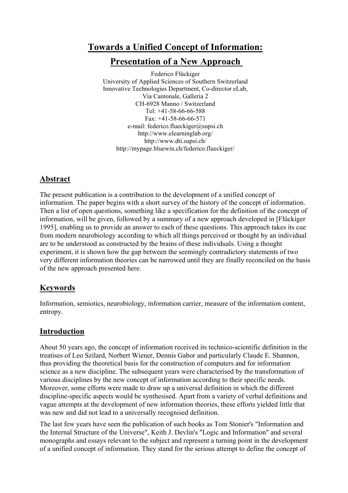# **Towards a Unified Concept of Information:**

## **Presentation of a New Approach**

Federico Flückiger University of Applied Sciences of Southern Switzerland Innovative Technologies Department, Co-director eLab, Via Cantonale, Galleria 2 CH-6928 Manno / Switzerland Tel: +41-58-66-66-588 Fax: +41-58-66-66-571 e-mail: federico.flueckiger@supsi.ch http://www.elearninglab.org/ http://www.dti.supsi.ch/ http://mypage.bluewin.ch/federico.flueckiger/

## **Abstract**

The present publication is a contribution to the development of a unified concept of information. The paper begins with a short survey of the history of the concept of information. Then a list of open questions, something like a specification for the definition of the concept of information, will be given, followed by a summary of a new approach developed in [Flückiger 1995], enabling us to provide an answer to each of these questions. This approach takes its cue from modern neurobiology according to which all things perceived or thought by an individual are to be understood as constructed by the brains of these individuals. Using a thought experiment, it is shown how the gap between the seemingly contradictory statements of two very different information theories can be narrowed until they are finally reconciled on the basis of the new approach presented here.

## **Keywords**

Information, semiotics, neurobiology, information carrier, measure of the information content, entropy.

## **Introduction**

About 50 years ago, the concept of information received its technico-scientific definition in the treatises of Leo Szilard, Norbert Wiener, Dennis Gabor and particularly Claude E. Shannon, thus providing the theoretical basis for the construction of computers and for information science as a new discipline. The subsequent years were characterised by the transformation of various disciplines by the new concept of information according to their specific needs. Moreover, some efforts were made to draw up a universal definition in which the different discipline-specific aspects would be synthesised. Apart from a variety of verbal definitions and vague attempts at the development of new information theories, these efforts yielded little that was new and did not lead to a universally recognised definition.

The last few years have seen the publication of such books as Tom Stonier's "Information and the Internal Structure of the Universe", Keith J. Devlin's "Logic and Information" and several monographs and essays relevant to the subject and represent a turning point in the development of a unified concept of information. They stand for the serious attempt to define the concept of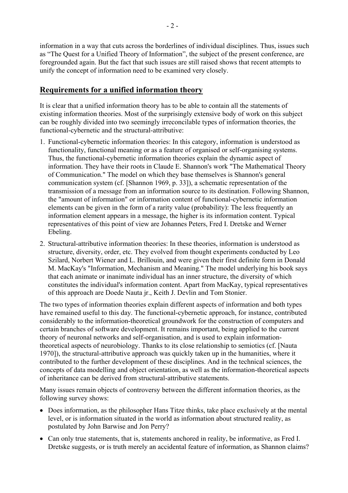information in a way that cuts across the borderlines of individual disciplines. Thus, issues such as "The Quest for a Unified Theory of Information", the subject of the present conference, are foregrounded again. But the fact that such issues are still raised shows that recent attempts to unify the concept of information need to be examined very closely.

#### **Requirements for a unified information theory**

It is clear that a unified information theory has to be able to contain all the statements of existing information theories. Most of the surprisingly extensive body of work on this subject can be roughly divided into two seemingly irreconcilable types of information theories, the functional-cybernetic and the structural-attributive:

- 1. Functional-cybernetic information theories: In this category, information is understood as functionality, functional meaning or as a feature of organised or self-organising systems. Thus, the functional-cybernetic information theories explain the dynamic aspect of information. They have their roots in Claude E. Shannon's work "The Mathematical Theory of Communication." The model on which they base themselves is Shannon's general communication system (cf. [Shannon 1969, p. 33]), a schematic representation of the transmission of a message from an information source to its destination. Following Shannon, the "amount of information" or information content of functional-cybernetic information elements can be given in the form of a rarity value (probability): The less frequently an information element appears in a message, the higher is its information content. Typical representatives of this point of view are Johannes Peters, Fred I. Dretske and Werner Ebeling.
- 2. Structural-attributive information theories: In these theories, information is understood as structure, diversity, order, etc. They evolved from thought experiments conducted by Leo Szilard, Norbert Wiener and L. Brillouin, and were given their first definite form in Donald M. MacKay's "Information, Mechanism and Meaning." The model underlying his book says that each animate or inanimate individual has an inner structure, the diversity of which constitutes the individual's information content. Apart from MacKay, typical representatives of this approach are Doede Nauta jr., Keith J. Devlin and Tom Stonier.

The two types of information theories explain different aspects of information and both types have remained useful to this day. The functional-cybernetic approach, for instance, contributed considerably to the information-theoretical groundwork for the construction of computers and certain branches of software development. It remains important, being applied to the current theory of neuronal networks and self-organisation, and is used to explain informationtheoretical aspects of neurobiology. Thanks to its close relationship to semiotics (cf. [Nauta 1970]), the structural-attributive approach was quickly taken up in the humanities, where it contributed to the further development of these disciplines. And in the technical sciences, the concepts of data modelling and object orientation, as well as the information-theoretical aspects of inheritance can be derived from structural-attributive statements.

Many issues remain objects of controversy between the different information theories, as the following survey shows:

- Does information, as the philosopher Hans Titze thinks, take place exclusively at the mental level, or is information situated in the world as information about structured reality, as postulated by John Barwise and Jon Perry?
- Can only true statements, that is, statements anchored in reality, be informative, as Fred I. Dretske suggests, or is truth merely an accidental feature of information, as Shannon claims?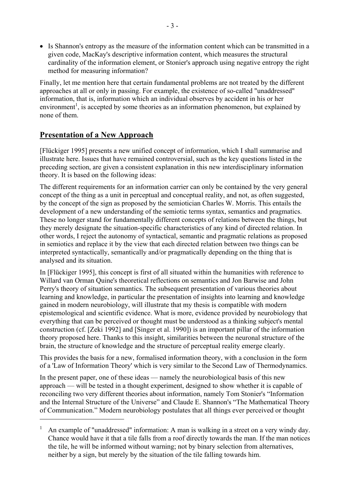• Is Shannon's entropy as the measure of the information content which can be transmitted in a given code, MacKay's descriptive information content, which measures the structural cardinality of the information element, or Stonier's approach using negative entropy the right method for measuring information?

Finally, let me mention here that certain fundamental problems are not treated by the different approaches at all or only in passing. For example, the existence of so-called "unaddressed" information, that is, information which an individual observes by accident in his or her environment<sup>1</sup>, is accepted by some theories as an information phenomenon, but explained by none of them.

### **Presentation of a New Approach**

 $\overline{a}$ 

[Flückiger 1995] presents a new unified concept of information, which I shall summarise and illustrate here. Issues that have remained controversial, such as the key questions listed in the preceding section, are given a consistent explanation in this new interdisciplinary information theory. It is based on the following ideas:

The different requirements for an information carrier can only be contained by the very general concept of the thing as a unit in perceptual and conceptual reality, and not, as often suggested, by the concept of the sign as proposed by the semiotician Charles W. Morris. This entails the development of a new understanding of the semiotic terms syntax, semantics and pragmatics. These no longer stand for fundamentally different concepts of relations between the things, but they merely designate the situation-specific characteristics of any kind of directed relation. In other words, I reject the autonomy of syntactical, semantic and pragmatic relations as proposed in semiotics and replace it by the view that each directed relation between two things can be interpreted syntactically, semantically and/or pragmatically depending on the thing that is analysed and its situation.

In [Flückiger 1995], this concept is first of all situated within the humanities with reference to Willard van Orman Quine's theoretical reflections on semantics and Jon Barwise and John Perry's theory of situation semantics. The subsequent presentation of various theories about learning and knowledge, in particular the presentation of insights into learning and knowledge gained in modern neurobiology, will illustrate that my thesis is compatible with modern epistemological and scientific evidence. What is more, evidence provided by neurobiology that everything that can be perceived or thought must be understood as a thinking subject's mental construction (cf. [Zeki 1992] and [Singer et al. 1990]) is an important pillar of the information theory proposed here. Thanks to this insight, similarities between the neuronal structure of the brain, the structure of knowledge and the structure of perceptual reality emerge clearly.

This provides the basis for a new, formalised information theory, with a conclusion in the form of a 'Law of Information Theory' which is very similar to the Second Law of Thermodynamics.

In the present paper, one of these ideas — namely the neurobiological basis of this new approach — will be tested in a thought experiment, designed to show whether it is capable of reconciling two very different theories about information, namely Tom Stonier's "Information and the Internal Structure of the Universe" and Claude E. Shannon's "The Mathematical Theory of Communication." Modern neurobiology postulates that all things ever perceived or thought

<sup>1</sup> An example of "unaddressed" information: A man is walking in a street on a very windy day. Chance would have it that a tile falls from a roof directly towards the man. If the man notices the tile, he will be informed without warning; not by binary selection from alternatives, neither by a sign, but merely by the situation of the tile falling towards him.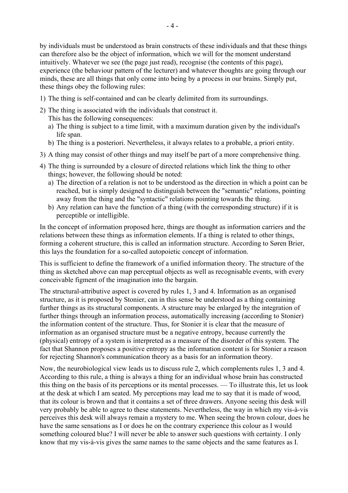by individuals must be understood as brain constructs of these individuals and that these things can therefore also be the object of information, which we will for the moment understand intuitively. Whatever we see (the page just read), recognise (the contents of this page), experience (the behaviour pattern of the lecturer) and whatever thoughts are going through our minds, these are all things that only come into being by a process in our brains. Simply put, these things obey the following rules:

- 1) The thing is self-contained and can be clearly delimited from its surroundings.
- 2) The thing is associated with the individuals that construct it. This has the following consequences:
	- a) The thing is subject to a time limit, with a maximum duration given by the individual's life span.
	- b) The thing is a posteriori. Nevertheless, it always relates to a probable, a priori entity.
- 3) A thing may consist of other things and may itself be part of a more comprehensive thing.
- 4) The thing is surrounded by a closure of directed relations which link the thing to other things; however, the following should be noted:
	- a) The direction of a relation is not to be understood as the direction in which a point can be reached, but is simply designed to distinguish between the "semantic" relations, pointing away from the thing and the "syntactic" relations pointing towards the thing.
	- b) Any relation can have the function of a thing (with the corresponding structure) if it is perceptible or intelligible.

In the concept of information proposed here, things are thought as information carriers and the relations between these things as information elements. If a thing is related to other things, forming a coherent structure, this is called an information structure. According to Søren Brier, this lays the foundation for a so-called autopoietic concept of information.

This is sufficient to define the framework of a unified information theory. The structure of the thing as sketched above can map perceptual objects as well as recognisable events, with every conceivable figment of the imagination into the bargain.

The structural-attributive aspect is covered by rules 1, 3 and 4. Information as an organised structure, as it is proposed by Stonier, can in this sense be understood as a thing containing further things as its structural components. A structure may be enlarged by the integration of further things through an information process, automatically increasing (according to Stonier) the information content of the structure. Thus, for Stonier it is clear that the measure of information as an organised structure must be a negative entropy, because currently the (physical) entropy of a system is interpreted as a measure of the disorder of this system. The fact that Shannon proposes a positive entropy as the information content is for Stonier a reason for rejecting Shannon's communication theory as a basis for an information theory.

Now, the neurobiological view leads us to discuss rule 2, which complements rules 1, 3 and 4. According to this rule, a thing is always a thing for an individual whose brain has constructed this thing on the basis of its perceptions or its mental processes. — To illustrate this, let us look at the desk at which I am seated. My perceptions may lead me to say that it is made of wood, that its colour is brown and that it contains a set of three drawers. Anyone seeing this desk will very probably be able to agree to these statements. Nevertheless, the way in which my vis-à-vis perceives this desk will always remain a mystery to me. When seeing the brown colour, does he have the same sensations as I or does he on the contrary experience this colour as I would something coloured blue? I will never be able to answer such questions with certainty. I only know that my vis-à-vis gives the same names to the same objects and the same features as I.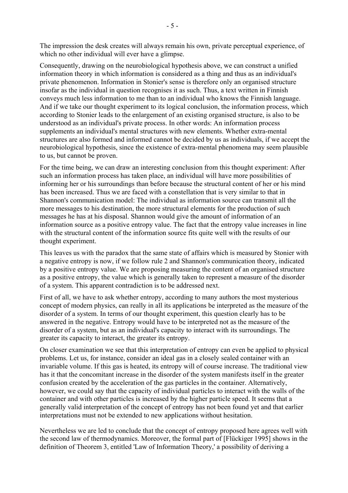The impression the desk creates will always remain his own, private perceptual experience, of which no other individual will ever have a glimpse.

Consequently, drawing on the neurobiological hypothesis above, we can construct a unified information theory in which information is considered as a thing and thus as an individual's private phenomenon. Information in Stonier's sense is therefore only an organised structure insofar as the individual in question recognises it as such. Thus, a text written in Finnish conveys much less information to me than to an individual who knows the Finnish language. And if we take our thought experiment to its logical conclusion, the information process, which according to Stonier leads to the enlargement of an existing organised structure, is also to be understood as an individual's private process. In other words: An information process supplements an individual's mental structures with new elements. Whether extra-mental structures are also formed and informed cannot be decided by us as individuals, if we accept the neurobiological hypothesis, since the existence of extra-mental phenomena may seem plausible to us, but cannot be proven.

For the time being, we can draw an interesting conclusion from this thought experiment: After such an information process has taken place, an individual will have more possibilities of informing her or his surroundings than before because the structural content of her or his mind has been increased. Thus we are faced with a constellation that is very similar to that in Shannon's communication model: The individual as information source can transmit all the more messages to his destination, the more structural elements for the production of such messages he has at his disposal. Shannon would give the amount of information of an information source as a positive entropy value. The fact that the entropy value increases in line with the structural content of the information source fits quite well with the results of our thought experiment.

This leaves us with the paradox that the same state of affairs which is measured by Stonier with a negative entropy is now, if we follow rule 2 and Shannon's communication theory, indicated by a positive entropy value. We are proposing measuring the content of an organised structure as a positive entropy, the value which is generally taken to represent a measure of the disorder of a system. This apparent contradiction is to be addressed next.

First of all, we have to ask whether entropy, according to many authors the most mysterious concept of modern physics, can really in all its applications be interpreted as the measure of the disorder of a system. In terms of our thought experiment, this question clearly has to be answered in the negative. Entropy would have to be interpreted not as the measure of the disorder of a system, but as an individual's capacity to interact with its surroundings. The greater its capacity to interact, the greater its entropy.

On closer examination we see that this interpretation of entropy can even be applied to physical problems. Let us, for instance, consider an ideal gas in a closely sealed container with an invariable volume. If this gas is heated, its entropy will of course increase. The traditional view has it that the concomitant increase in the disorder of the system manifests itself in the greater confusion created by the acceleration of the gas particles in the container. Alternatively, however, we could say that the capacity of individual particles to interact with the walls of the container and with other particles is increased by the higher particle speed. It seems that a generally valid interpretation of the concept of entropy has not been found yet and that earlier interpretations must not be extended to new applications without hesitation.

Nevertheless we are led to conclude that the concept of entropy proposed here agrees well with the second law of thermodynamics. Moreover, the formal part of [Flückiger 1995] shows in the definition of Theorem 3, entitled 'Law of Information Theory,' a possibility of deriving a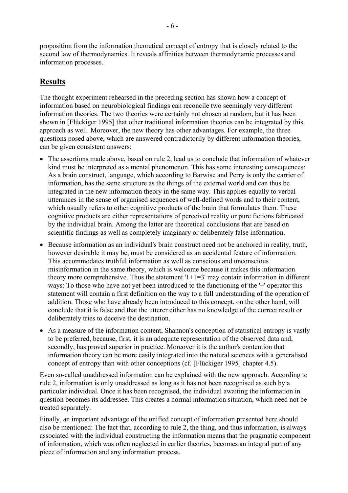proposition from the information theoretical concept of entropy that is closely related to the second law of thermodynamics. It reveals affinities between thermodynamic processes and information processes.

## **Results**

The thought experiment rehearsed in the preceding section has shown how a concept of information based on neurobiological findings can reconcile two seemingly very different information theories. The two theories were certainly not chosen at random, but it has been shown in [Flückiger 1995] that other traditional information theories can be integrated by this approach as well. Moreover, the new theory has other advantages. For example, the three questions posed above, which are answered contradictorily by different information theories, can be given consistent answers:

- The assertions made above, based on rule 2, lead us to conclude that information of whatever kind must be interpreted as a mental phenomenon. This has some interesting consequences: As a brain construct, language, which according to Barwise and Perry is only the carrier of information, has the same structure as the things of the external world and can thus be integrated in the new information theory in the same way. This applies equally to verbal utterances in the sense of organised sequences of well-defined words and to their content, which usually refers to other cognitive products of the brain that formulates them. These cognitive products are either representations of perceived reality or pure fictions fabricated by the individual brain. Among the latter are theoretical conclusions that are based on scientific findings as well as completely imaginary or deliberately false information.
- Because information as an individual's brain construct need not be anchored in reality, truth, however desirable it may be, must be considered as an accidental feature of information. This accommodates truthful information as well as conscious and unconscious misinformation in the same theory, which is welcome because it makes this information theory more comprehensive. Thus the statement  $1+1=3'$  may contain information in different ways: To those who have not yet been introduced to the functioning of the '+' operator this statement will contain a first definition on the way to a full understanding of the operation of addition. Those who have already been introduced to this concept, on the other hand, will conclude that it is false and that the utterer either has no knowledge of the correct result or deliberately tries to deceive the destination.
- As a measure of the information content, Shannon's conception of statistical entropy is vastly to be preferred, because, first, it is an adequate representation of the observed data and, secondly, has proved superior in practice. Moreover it is the author's contention that information theory can be more easily integrated into the natural sciences with a generalised concept of entropy than with other conceptions (cf. [Flückiger 1995] chapter 4.5).

Even so-called unaddressed information can be explained with the new approach. According to rule 2, information is only unaddressed as long as it has not been recognised as such by a particular individual. Once it has been recognised, the individual awaiting the information in question becomes its addressee. This creates a normal information situation, which need not be treated separately.

Finally, an important advantage of the unified concept of information presented here should also be mentioned: The fact that, according to rule 2, the thing, and thus information, is always associated with the individual constructing the information means that the pragmatic component of information, which was often neglected in earlier theories, becomes an integral part of any piece of information and any information process.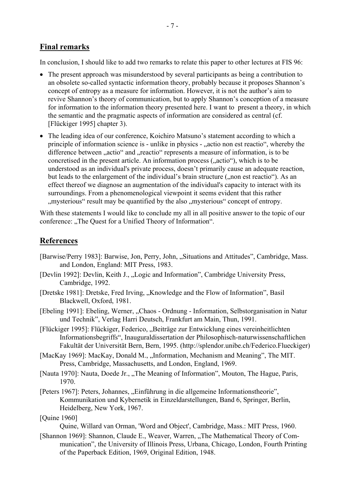#### **Final remarks**

In conclusion, I should like to add two remarks to relate this paper to other lectures at FIS 96:

- The present approach was misunderstood by several participants as being a contribution to an obsolete so-called syntactic information theory, probably because it proposes Shannon's concept of entropy as a measure for information. However, it is not the author's aim to revive Shannon's theory of communication, but to apply Shannon's conception of a measure for information to the information theory presented here. I want to present a theory, in which the semantic and the pragmatic aspects of information are considered as central (cf. [Flückiger 1995] chapter 3).
- The leading idea of our conference, Koichiro Matsuno's statement according to which a principle of information science is - unlike in physics - "actio non est reactio", whereby the difference between "actio" and "reactio" represents a measure of information, is to be concretised in the present article. An information process ("actio"), which is to be understood as an individual's private process, doesn't primarily cause an adequate reaction, but leads to the enlargement of the individual's brain structure ("non est reactio"). As an effect thereof we diagnose an augmentation of the individual's capacity to interact with its surroundings. From a phenomenological viewpoint it seems evident that this rather ", mysterious" result may be quantified by the also ", mysterious" concept of entropy.

With these statements I would like to conclude my all in all positive answer to the topic of our conference: ..The Quest for a Unified Theory of Information".

#### **References**

- [Barwise/Perry 1983]: Barwise, Jon, Perry, John, "Situations and Attitudes", Cambridge, Mass. and London, England: MIT Press, 1983.
- [Devlin 1992]: Devlin, Keith J., "Logic and Information", Cambridge University Press, Cambridge, 1992.
- [Dretske 1981]: Dretske, Fred Irving, "Knowledge and the Flow of Information", Basil Blackwell, Oxford, 1981.
- [Ebeling 1991]: Ebeling, Werner, "Chaos Ordnung Information, Selbstorganisation in Natur und Technik", Verlag Harri Deutsch, Frankfurt am Main, Thun, 1991.
- [Flückiger 1995]: Flückiger, Federico, "Beiträge zur Entwicklung eines vereinheitlichten Informationsbegriffs", Inauguraldissertation der Philosophisch-naturwissenschaftlichen Fakultät der Universität Bern, Bern, 1995. (http://splendor.unibe.ch/Federico.Flueckiger)
- [MacKay 1969]: MacKay, Donald M., "Information, Mechanism and Meaning", The MIT. Press, Cambridge, Massachusetts, and London, England, 1969.
- [Nauta 1970]: Nauta, Doede Jr., "The Meaning of Information", Mouton, The Hague, Paris, 1970.
- [Peters 1967]: Peters, Johannes, "Einführung in die allgemeine Informationstheorie", Kommunikation und Kybernetik in Einzeldarstellungen, Band 6, Springer, Berlin, Heidelberg, New York, 1967.

[Quine 1960]

Quine, Willard van Orman, 'Word and Object', Cambridge, Mass.: MIT Press, 1960.

[Shannon 1969]: Shannon, Claude E., Weaver, Warren, "The Mathematical Theory of Communication", the University of Illinois Press, Urbana, Chicago, London, Fourth Printing of the Paperback Edition, 1969, Original Edition, 1948.